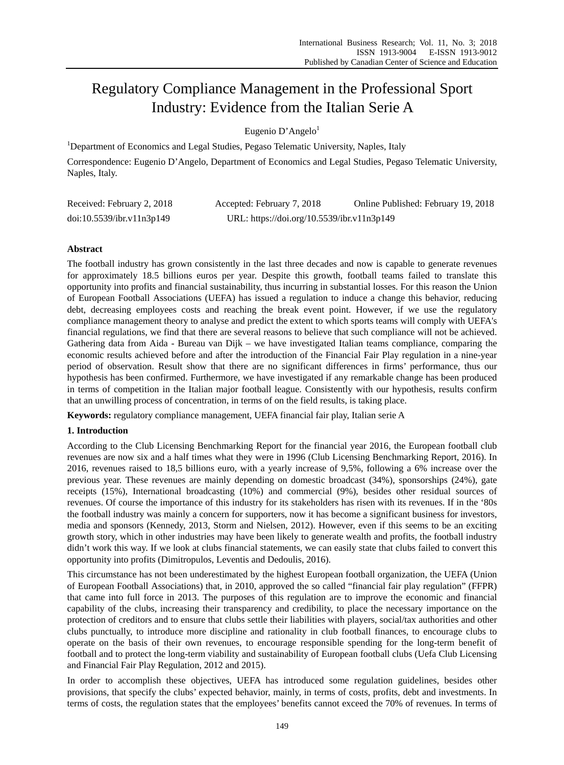# Regulatory Compliance Management in the Professional Sport Industry: Evidence from the Italian Serie A

Eugenio D'Angelo<sup>1</sup>

<sup>1</sup>Department of Economics and Legal Studies, Pegaso Telematic University, Naples, Italy

Correspondence: Eugenio D'Angelo, Department of Economics and Legal Studies, Pegaso Telematic University, Naples, Italy.

| Received: February 2, 2018 | Accepted: February 7, 2018                 | Online Published: February 19, 2018 |
|----------------------------|--------------------------------------------|-------------------------------------|
| doi:10.5539/ibr.v11n3p149  | URL: https://doi.org/10.5539/ibr.v11n3p149 |                                     |

# **Abstract**

The football industry has grown consistently in the last three decades and now is capable to generate revenues for approximately 18.5 billions euros per year. Despite this growth, football teams failed to translate this opportunity into profits and financial sustainability, thus incurring in substantial losses. For this reason the Union of European Football Associations (UEFA) has issued a regulation to induce a change this behavior, reducing debt, decreasing employees costs and reaching the break event point. However, if we use the regulatory compliance management theory to analyse and predict the extent to which sports teams will comply with UEFA's financial regulations, we find that there are several reasons to believe that such compliance will not be achieved. Gathering data from Aida - Bureau van Dijk – we have investigated Italian teams compliance, comparing the economic results achieved before and after the introduction of the Financial Fair Play regulation in a nine-year period of observation. Result show that there are no significant differences in firms' performance, thus our hypothesis has been confirmed. Furthermore, we have investigated if any remarkable change has been produced in terms of competition in the Italian major football league. Consistently with our hypothesis, results confirm that an unwilling process of concentration, in terms of on the field results, is taking place.

**Keywords:** regulatory compliance management, UEFA financial fair play, Italian serie A

# **1. Introduction**

According to the Club Licensing Benchmarking Report for the financial year 2016, the European football club revenues are now six and a half times what they were in 1996 (Club Licensing Benchmarking Report, 2016). In 2016, revenues raised to 18,5 billions euro, with a yearly increase of 9,5%, following a 6% increase over the previous year. These revenues are mainly depending on domestic broadcast (34%), sponsorships (24%), gate receipts (15%), International broadcasting (10%) and commercial (9%), besides other residual sources of revenues. Of course the importance of this industry for its stakeholders has risen with its revenues. If in the '80s the football industry was mainly a concern for supporters, now it has become a significant business for investors, media and sponsors (Kennedy, 2013, Storm and Nielsen, 2012). However, even if this seems to be an exciting growth story, which in other industries may have been likely to generate wealth and profits, the football industry didn't work this way. If we look at clubs financial statements, we can easily state that clubs failed to convert this opportunity into profits (Dimitropulos, Leventis and Dedoulis, 2016).

This circumstance has not been underestimated by the highest European football organization, the UEFA (Union of European Football Associations) that, in 2010, approved the so called "financial fair play regulation" (FFPR) that came into full force in 2013. The purposes of this regulation are to improve the economic and financial capability of the clubs, increasing their transparency and credibility, to place the necessary importance on the protection of creditors and to ensure that clubs settle their liabilities with players, social/tax authorities and other clubs punctually, to introduce more discipline and rationality in club football finances, to encourage clubs to operate on the basis of their own revenues, to encourage responsible spending for the long-term benefit of football and to protect the long-term viability and sustainability of European football clubs (Uefa Club Licensing and Financial Fair Play Regulation, 2012 and 2015).

In order to accomplish these objectives, UEFA has introduced some regulation guidelines, besides other provisions, that specify the clubs' expected behavior, mainly, in terms of costs, profits, debt and investments. In terms of costs, the regulation states that the employees' benefits cannot exceed the 70% of revenues. In terms of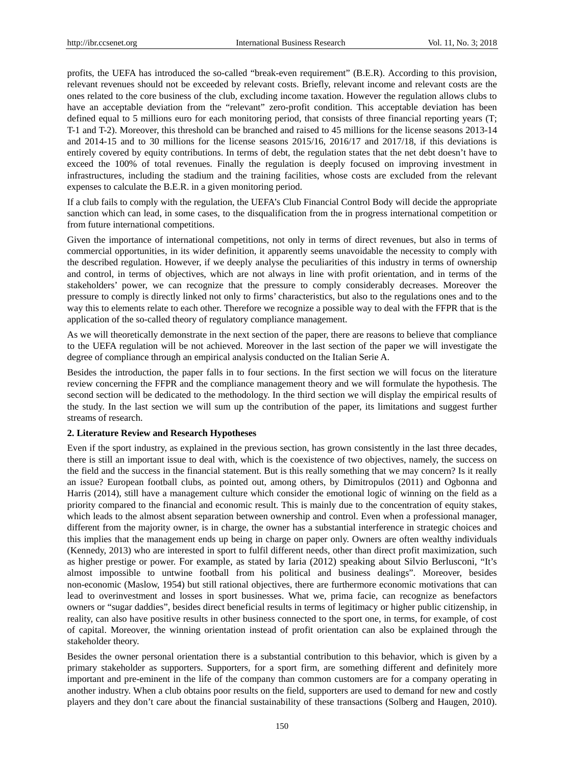profits, the UEFA has introduced the so-called "break-even requirement" (B.E.R). According to this provision, relevant revenues should not be exceeded by relevant costs. Briefly, relevant income and relevant costs are the ones related to the core business of the club, excluding income taxation. However the regulation allows clubs to have an acceptable deviation from the "relevant" zero-profit condition. This acceptable deviation has been defined equal to 5 millions euro for each monitoring period, that consists of three financial reporting years (T; T-1 and T-2). Moreover, this threshold can be branched and raised to 45 millions for the license seasons 2013-14 and 2014-15 and to 30 millions for the license seasons 2015/16, 2016/17 and 2017/18, if this deviations is entirely covered by equity contributions. In terms of debt, the regulation states that the net debt doesn't have to exceed the 100% of total revenues. Finally the regulation is deeply focused on improving investment in infrastructures, including the stadium and the training facilities, whose costs are excluded from the relevant expenses to calculate the B.E.R. in a given monitoring period.

If a club fails to comply with the regulation, the UEFA's Club Financial Control Body will decide the appropriate sanction which can lead, in some cases, to the disqualification from the in progress international competition or from future international competitions.

Given the importance of international competitions, not only in terms of direct revenues, but also in terms of commercial opportunities, in its wider definition, it apparently seems unavoidable the necessity to comply with the described regulation. However, if we deeply analyse the peculiarities of this industry in terms of ownership and control, in terms of objectives, which are not always in line with profit orientation, and in terms of the stakeholders' power, we can recognize that the pressure to comply considerably decreases. Moreover the pressure to comply is directly linked not only to firms' characteristics, but also to the regulations ones and to the way this to elements relate to each other. Therefore we recognize a possible way to deal with the FFPR that is the application of the so-called theory of regulatory compliance management.

As we will theoretically demonstrate in the next section of the paper, there are reasons to believe that compliance to the UEFA regulation will be not achieved. Moreover in the last section of the paper we will investigate the degree of compliance through an empirical analysis conducted on the Italian Serie A.

Besides the introduction, the paper falls in to four sections. In the first section we will focus on the literature review concerning the FFPR and the compliance management theory and we will formulate the hypothesis. The second section will be dedicated to the methodology. In the third section we will display the empirical results of the study. In the last section we will sum up the contribution of the paper, its limitations and suggest further streams of research.

#### **2. Literature Review and Research Hypotheses**

Even if the sport industry, as explained in the previous section, has grown consistently in the last three decades, there is still an important issue to deal with, which is the coexistence of two objectives, namely, the success on the field and the success in the financial statement. But is this really something that we may concern? Is it really an issue? European football clubs, as pointed out, among others, by Dimitropulos (2011) and Ogbonna and Harris (2014), still have a management culture which consider the emotional logic of winning on the field as a priority compared to the financial and economic result. This is mainly due to the concentration of equity stakes, which leads to the almost absent separation between ownership and control. Even when a professional manager, different from the majority owner, is in charge, the owner has a substantial interference in strategic choices and this implies that the management ends up being in charge on paper only. Owners are often wealthy individuals (Kennedy, 2013) who are interested in sport to fulfil different needs, other than direct profit maximization, such as higher prestige or power. For example, as stated by Iaria (2012) speaking about Silvio Berlusconi, "It's almost impossible to untwine football from his political and business dealings". Moreover, besides non-economic (Maslow, 1954) but still rational objectives, there are furthermore economic motivations that can lead to overinvestment and losses in sport businesses. What we, prima facie, can recognize as benefactors owners or "sugar daddies", besides direct beneficial results in terms of legitimacy or higher public citizenship, in reality, can also have positive results in other business connected to the sport one, in terms, for example, of cost of capital. Moreover, the winning orientation instead of profit orientation can also be explained through the stakeholder theory.

Besides the owner personal orientation there is a substantial contribution to this behavior, which is given by a primary stakeholder as supporters. Supporters, for a sport firm, are something different and definitely more important and pre-eminent in the life of the company than common customers are for a company operating in another industry. When a club obtains poor results on the field, supporters are used to demand for new and costly players and they don't care about the financial sustainability of these transactions (Solberg and Haugen, 2010).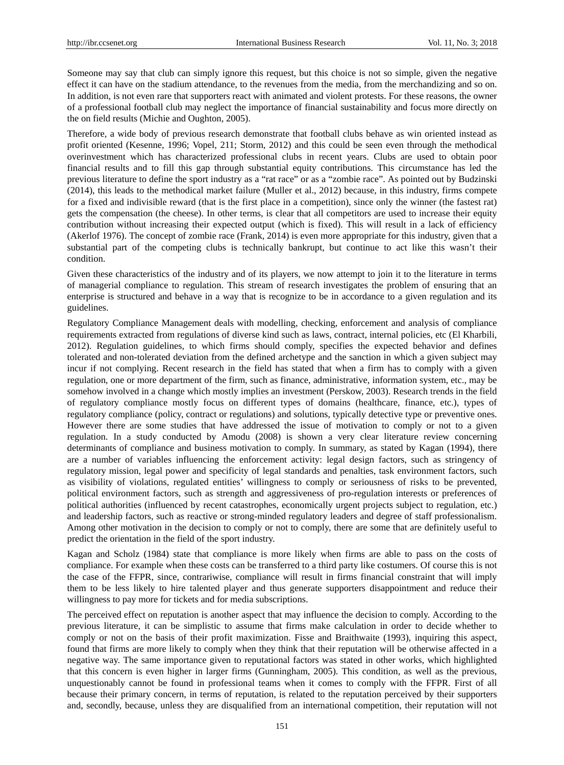Someone may say that club can simply ignore this request, but this choice is not so simple, given the negative effect it can have on the stadium attendance, to the revenues from the media, from the merchandizing and so on. In addition, is not even rare that supporters react with animated and violent protests. For these reasons, the owner of a professional football club may neglect the importance of financial sustainability and focus more directly on the on field results (Michie and Oughton, 2005).

Therefore, a wide body of previous research demonstrate that football clubs behave as win oriented instead as profit oriented (Kesenne, 1996; Vopel, 211; Storm, 2012) and this could be seen even through the methodical overinvestment which has characterized professional clubs in recent years. Clubs are used to obtain poor financial results and to fill this gap through substantial equity contributions. This circumstance has led the previous literature to define the sport industry as a "rat race" or as a "zombie race". As pointed out by Budzinski (2014), this leads to the methodical market failure (Muller et al., 2012) because, in this industry, firms compete for a fixed and indivisible reward (that is the first place in a competition), since only the winner (the fastest rat) gets the compensation (the cheese). In other terms, is clear that all competitors are used to increase their equity contribution without increasing their expected output (which is fixed). This will result in a lack of efficiency (Akerlof 1976). The concept of zombie race (Frank, 2014) is even more appropriate for this industry, given that a substantial part of the competing clubs is technically bankrupt, but continue to act like this wasn't their condition.

Given these characteristics of the industry and of its players, we now attempt to join it to the literature in terms of managerial compliance to regulation. This stream of research investigates the problem of ensuring that an enterprise is structured and behave in a way that is recognize to be in accordance to a given regulation and its guidelines.

Regulatory Compliance Management deals with modelling, checking, enforcement and analysis of compliance requirements extracted from regulations of diverse kind such as laws, contract, internal policies, etc (El Kharbili, 2012). Regulation guidelines, to which firms should comply, specifies the expected behavior and defines tolerated and non-tolerated deviation from the defined archetype and the sanction in which a given subject may incur if not complying. Recent research in the field has stated that when a firm has to comply with a given regulation, one or more department of the firm, such as finance, administrative, information system, etc., may be somehow involved in a change which mostly implies an investment (Perskow, 2003). Research trends in the field of regulatory compliance mostly focus on different types of domains (healthcare, finance, etc.), types of regulatory compliance (policy, contract or regulations) and solutions, typically detective type or preventive ones. However there are some studies that have addressed the issue of motivation to comply or not to a given regulation. In a study conducted by Amodu (2008) is shown a very clear literature review concerning determinants of compliance and business motivation to comply. In summary, as stated by Kagan (1994), there are a number of variables influencing the enforcement activity: legal design factors, such as stringency of regulatory mission, legal power and specificity of legal standards and penalties, task environment factors, such as visibility of violations, regulated entities' willingness to comply or seriousness of risks to be prevented, political environment factors, such as strength and aggressiveness of pro-regulation interests or preferences of political authorities (influenced by recent catastrophes, economically urgent projects subject to regulation, etc.) and leadership factors, such as reactive or strong-minded regulatory leaders and degree of staff professionalism. Among other motivation in the decision to comply or not to comply, there are some that are definitely useful to predict the orientation in the field of the sport industry.

Kagan and Scholz (1984) state that compliance is more likely when firms are able to pass on the costs of compliance. For example when these costs can be transferred to a third party like costumers. Of course this is not the case of the FFPR, since, contrariwise, compliance will result in firms financial constraint that will imply them to be less likely to hire talented player and thus generate supporters disappointment and reduce their willingness to pay more for tickets and for media subscriptions.

The perceived effect on reputation is another aspect that may influence the decision to comply. According to the previous literature, it can be simplistic to assume that firms make calculation in order to decide whether to comply or not on the basis of their profit maximization. Fisse and Braithwaite (1993), inquiring this aspect, found that firms are more likely to comply when they think that their reputation will be otherwise affected in a negative way. The same importance given to reputational factors was stated in other works, which highlighted that this concern is even higher in larger firms (Gunningham, 2005). This condition, as well as the previous, unquestionably cannot be found in professional teams when it comes to comply with the FFPR. First of all because their primary concern, in terms of reputation, is related to the reputation perceived by their supporters and, secondly, because, unless they are disqualified from an international competition, their reputation will not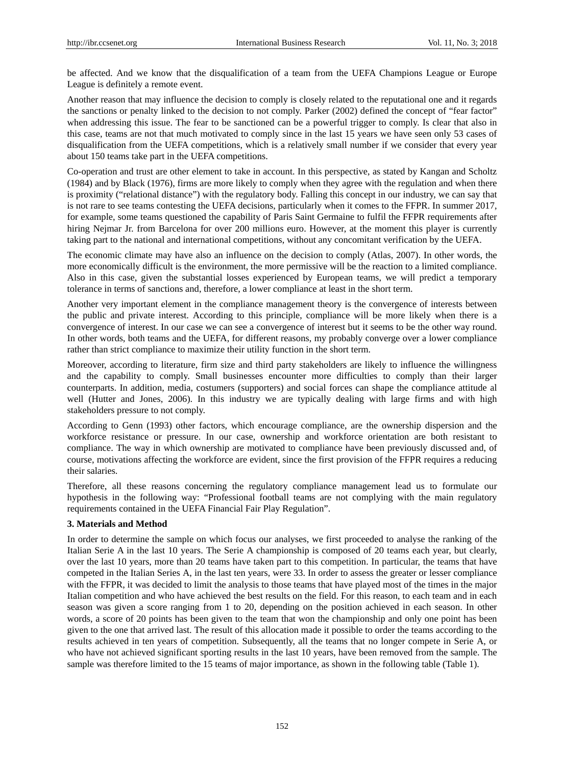be affected. And we know that the disqualification of a team from the UEFA Champions League or Europe League is definitely a remote event.

Another reason that may influence the decision to comply is closely related to the reputational one and it regards the sanctions or penalty linked to the decision to not comply. Parker (2002) defined the concept of "fear factor" when addressing this issue. The fear to be sanctioned can be a powerful trigger to comply. Is clear that also in this case, teams are not that much motivated to comply since in the last 15 years we have seen only 53 cases of disqualification from the UEFA competitions, which is a relatively small number if we consider that every year about 150 teams take part in the UEFA competitions.

Co-operation and trust are other element to take in account. In this perspective, as stated by Kangan and Scholtz (1984) and by Black (1976), firms are more likely to comply when they agree with the regulation and when there is proximity ("relational distance") with the regulatory body. Falling this concept in our industry, we can say that is not rare to see teams contesting the UEFA decisions, particularly when it comes to the FFPR. In summer 2017, for example, some teams questioned the capability of Paris Saint Germaine to fulfil the FFPR requirements after hiring Nejmar Jr. from Barcelona for over 200 millions euro. However, at the moment this player is currently taking part to the national and international competitions, without any concomitant verification by the UEFA.

The economic climate may have also an influence on the decision to comply (Atlas, 2007). In other words, the more economically difficult is the environment, the more permissive will be the reaction to a limited compliance. Also in this case, given the substantial losses experienced by European teams, we will predict a temporary tolerance in terms of sanctions and, therefore, a lower compliance at least in the short term.

Another very important element in the compliance management theory is the convergence of interests between the public and private interest. According to this principle, compliance will be more likely when there is a convergence of interest. In our case we can see a convergence of interest but it seems to be the other way round. In other words, both teams and the UEFA, for different reasons, my probably converge over a lower compliance rather than strict compliance to maximize their utility function in the short term.

Moreover, according to literature, firm size and third party stakeholders are likely to influence the willingness and the capability to comply. Small businesses encounter more difficulties to comply than their larger counterparts. In addition, media, costumers (supporters) and social forces can shape the compliance attitude al well (Hutter and Jones, 2006). In this industry we are typically dealing with large firms and with high stakeholders pressure to not comply.

According to Genn (1993) other factors, which encourage compliance, are the ownership dispersion and the workforce resistance or pressure. In our case, ownership and workforce orientation are both resistant to compliance. The way in which ownership are motivated to compliance have been previously discussed and, of course, motivations affecting the workforce are evident, since the first provision of the FFPR requires a reducing their salaries.

Therefore, all these reasons concerning the regulatory compliance management lead us to formulate our hypothesis in the following way: "Professional football teams are not complying with the main regulatory requirements contained in the UEFA Financial Fair Play Regulation".

# **3. Materials and Method**

In order to determine the sample on which focus our analyses, we first proceeded to analyse the ranking of the Italian Serie A in the last 10 years. The Serie A championship is composed of 20 teams each year, but clearly, over the last 10 years, more than 20 teams have taken part to this competition. In particular, the teams that have competed in the Italian Series A, in the last ten years, were 33. In order to assess the greater or lesser compliance with the FFPR, it was decided to limit the analysis to those teams that have played most of the times in the major Italian competition and who have achieved the best results on the field. For this reason, to each team and in each season was given a score ranging from 1 to 20, depending on the position achieved in each season. In other words, a score of 20 points has been given to the team that won the championship and only one point has been given to the one that arrived last. The result of this allocation made it possible to order the teams according to the results achieved in ten years of competition. Subsequently, all the teams that no longer compete in Serie A, or who have not achieved significant sporting results in the last 10 years, have been removed from the sample. The sample was therefore limited to the 15 teams of major importance, as shown in the following table (Table 1).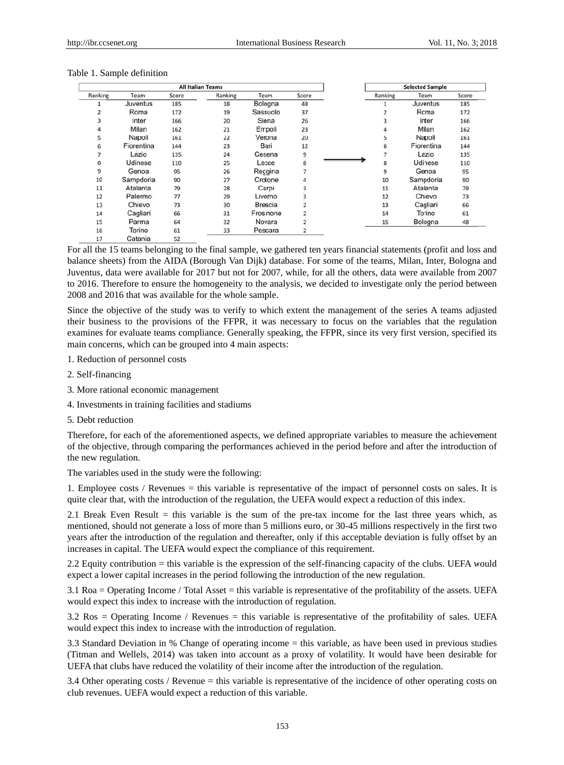#### Table 1. Sample definition

| <b>All Italian Teams</b> |                 |       |         |                |       |         | <b>Selected Sample</b> |       |  |  |
|--------------------------|-----------------|-------|---------|----------------|-------|---------|------------------------|-------|--|--|
| Ranking                  | Team            | Score | Ranking | Team           | Score | Ranking | Team                   | Score |  |  |
|                          | <b>Juventus</b> | 185   | 18      | Bologna        | 48    |         | Juventus               | 185   |  |  |
|                          | Roma            | 172   | 19      | Sassuolo       | 37    |         | Rcma                   | 172   |  |  |
| 3                        | Inter           | 166   | 20      | Siena          | 26    |         | Inter                  | 166   |  |  |
| 4                        | Milan           | 162   | 21      | Empoli         | 23    |         | Milan                  | 162   |  |  |
| 5                        | Napoli          | 161   | 22      | Verona         | 20    | 5       | Napoli                 | 161   |  |  |
| 6                        | Fiorentina      | 144   | 23      | Bari           | 12    | 6       | Fiorentina             | 144   |  |  |
|                          | Lazio           | 135   | 24      | Cesena         | 9     |         | Lazio                  | 135   |  |  |
| 8                        | Udinese         | 110   | 25      | Lecce          | 8     | 8       | Udinese                | 110   |  |  |
| 9                        | Genoa           | 95    | 26      | Reggina        |       | 9       | Genoa                  | 95    |  |  |
| 10                       | Sampdoria       | 90    | 27      | Crotone        | 4     | 10      | Sampdoria              | 90    |  |  |
| 11                       | Atalanta        | 79    | 28      | Carpi          |       | 11      | Atalanta               | 79    |  |  |
| 12                       | Palermo         | 77    | 29      | Livorno        |       | 12      | Chievo                 | 73    |  |  |
| 13                       | Chievo          | 73    | 30      | <b>Brescia</b> |       | 13      | Cagliari               | 66    |  |  |
| 14                       | Cagliari        | 66    | 31      | Frosinone      |       | 14      | Torino                 | 61    |  |  |
| 15                       | Parma           | 64    | 32      | Novara         |       | 15      | Bologna                | 48    |  |  |
| 16                       | Torino          | 61    | 33      | Pescara        |       |         |                        |       |  |  |
| 17                       | Catania         | 52    |         |                |       |         |                        |       |  |  |

For all the 15 teams belonging to the final sample, we gathered ten years financial statements (profit and loss and balance sheets) from the AIDA (Borough Van Dijk) database. For some of the teams, Milan, Inter, Bologna and Juventus, data were available for 2017 but not for 2007, while, for all the others, data were available from 2007 to 2016. Therefore to ensure the homogeneity to the analysis, we decided to investigate only the period between 2008 and 2016 that was available for the whole sample.

Since the objective of the study was to verify to which extent the management of the series A teams adjusted their business to the provisions of the FFPR, it was necessary to focus on the variables that the regulation examines for evaluate teams compliance. Generally speaking, the FFPR, since its very first version, specified its main concerns, which can be grouped into 4 main aspects:

- 1. Reduction of personnel costs
- 2. Self-financing
- 3. More rational economic management
- 4. Investments in training facilities and stadiums
- 5. Debt reduction

Therefore, for each of the aforementioned aspects, we defined appropriate variables to measure the achievement of the objective, through comparing the performances achieved in the period before and after the introduction of the new regulation.

The variables used in the study were the following:

1. Employee costs / Revenues = this variable is representative of the impact of personnel costs on sales. It is quite clear that, with the introduction of the regulation, the UEFA would expect a reduction of this index.

2.1 Break Even Result = this variable is the sum of the pre-tax income for the last three years which, as mentioned, should not generate a loss of more than 5 millions euro, or 30-45 millions respectively in the first two years after the introduction of the regulation and thereafter, only if this acceptable deviation is fully offset by an increases in capital. The UEFA would expect the compliance of this requirement.

2.2 Equity contribution = this variable is the expression of the self-financing capacity of the clubs. UEFA would expect a lower capital increases in the period following the introduction of the new regulation.

3.1 Roa = Operating Income / Total Asset = this variable is representative of the profitability of the assets. UEFA would expect this index to increase with the introduction of regulation.

3.2 Ros = Operating Income / Revenues = this variable is representative of the profitability of sales. UEFA would expect this index to increase with the introduction of regulation.

3.3 Standard Deviation in % Change of operating income = this variable, as have been used in previous studies (Titman and Wellels, 2014) was taken into account as a proxy of volatility. It would have been desirable for UEFA that clubs have reduced the volatility of their income after the introduction of the regulation.

3.4 Other operating costs / Revenue = this variable is representative of the incidence of other operating costs on club revenues. UEFA would expect a reduction of this variable.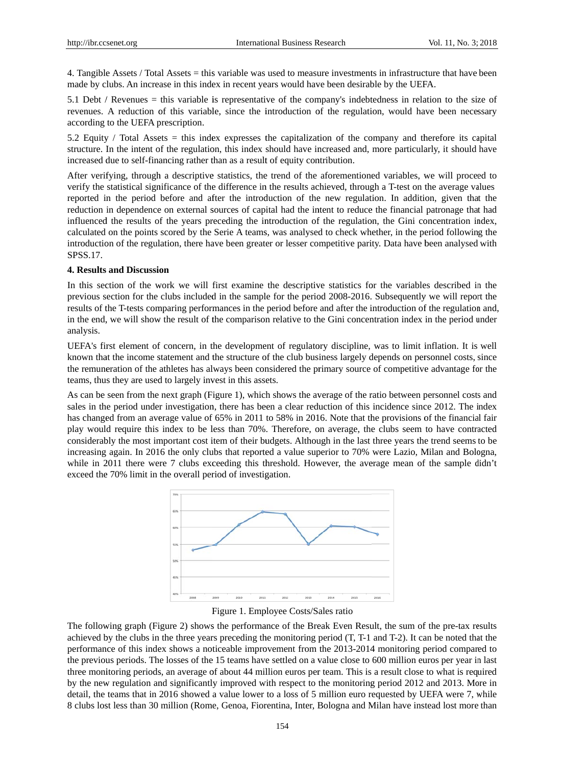4. Tangible Assets / Total Assets = this variable was used to measure investments in infrastructure that have been made by clubs. An increase in this index in recent years would have been desirable by the UEFA.

5.1 Debt / Revenues = this variable is representative of the company's indebtedness in relation to the size of revenues. A reduction of this variable, since the introduction of the regulation, would have been necessary according to the UEFA prescription.

5.2 Equity / Total Assets  $=$  this index expresses the capitalization of the company and therefore its capital structure. In the intent of the regulation, this index should have increased and, more particularly, it should have increased due to self-financing rather than as a result of equity contribution.

After verifying, through a descriptive statistics, the trend of the aforementioned variables, we will proceed to verify the statistical significance of the difference in the results achieved, through a T-test on the average values reported in the period before and after the introduction of the new regulation. In addition, given that the reduction in dependence on external sources of capital had the intent to reduce the financial patronage that had influenced the results of the years preceding the introduction of the regulation, the Gini concentration index, calculated on the points scored by the Serie A teams, was analysed to check whether, in the period following the introduction of the regulation, there have been greater or lesser competitive parity. Data have been analysed with SPSS.17.

## **4. Results and Discussi on**

In this section of the work we will first examine the descriptive statistics for the variables described in the previous section for the clubs included in the sample for the period 2008-2016. Subsequently we will report the results of the T-tests comparing performances in the period before and after the introduction of the regulation and, in the end, we will show the result of the comparison relative to the Gini concentration index in the period under analysis.

UEFA's first element of concern, in the development of regulatory discipline, was to limit inflation. It is well known that the income statement and the structure of the club business largely depends on personnel costs, since the remuneration of the athletes has always been considered the primary source of competitive advantage for the teams, thus they are used to largely invest in this assets.

As can be seen from the next graph (Figure 1), which shows the average of the ratio between personnel costs and sales in the period under investigation, there has been a clear reduction of this incidence since 2012. The index has changed from an average value of 65% in 2011 to 58% in 2016. Note that the provisions of the financial fair play would require this index to be less than 70%. Therefore, on average, the clubs seem to have contracted considerably the most important cost item of their budgets. Although in the last three years the trend seems to be increasing again. In 2016 the only clubs that reported a value superior to 70% were Lazio, Milan and Bologna, while in 2011 there were 7 clubs exceeding this threshold. However, the average mean of the sample didn't exceed the 70% limit in the overall period of investigation.



F Figure 1. Emp ployee Costs/S ales ratio

The following graph (Figure 2) shows the performance of the Break Even Result, the sum of the pre-tax results achieved by the clubs in the three years preceding the monitoring period  $(T, T-1)$  and  $(T-2)$ . It can be noted that the performance of this index shows a noticeable improvement from the 2013-2014 monitoring period compared to the previous periods. The losses of the 15 teams have settled on a value close to 600 million euros per year in last three monitoring periods, an average of about 44 million euros per team. This is a result close to what is required by the new regulation and significantly improved with respect to the monitoring period 2012 and 2013. More in detail, the teams that in 2016 showed a value lower to a loss of 5 million euro requested by UEFA were 7, while 8 clubs lost less than 30 million (Rome, Genoa, Fiorentina, Inter, Bologna and Milan have instead lost more than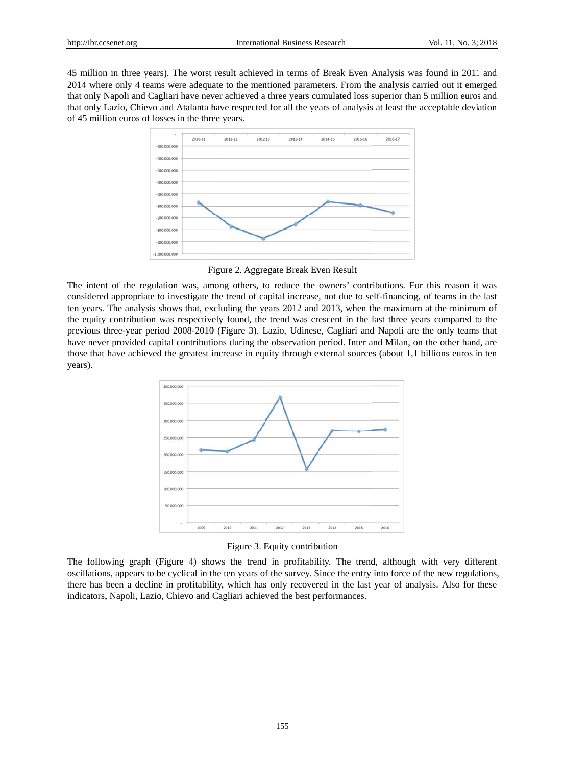45 million in three years). The worst result achieved in terms of Break Even Analysis was found in 2011 and 2014 where only 4 teams were adequate to the mentioned parameters. From the analysis carried out it emerged that only Napoli and Cagliari have never achieved a three years cumulated loss superior than 5 million euros and that only Lazio, Chievo and Atalanta have respected for all the years of analysis at least the acceptable deviation of 45 million euros of losses in the three years.



Figure 2. Aggregate Break Even Result

The intent of the regulation was, among others, to reduce the owners' contributions. For this reason it was considered appropriate to investigate the trend of capital increase, not due to self-financing, of teams in the last ten years. The analysis shows that, excluding the years 2012 and 2013, when the maximum at the minimum of the equity contribution was respectively found, the trend was crescent in the last three years compared to the previous three-year period 2008-2010 (Figure 3). Lazio, Udinese, Cagliari and Napoli are the only teams that have never provided capital contributions during the observation period. Inter and Milan, on the other hand, are those that have achieved the greatest increase in equity through external sources (about 1,1 billions euros in ten years).



Figure 3. Equity contribution

The following graph (Figure 4) shows the trend in profitability. The trend, although with very different oscillations, appears to be cyclical in the ten years of the survey. Since the entry into force of the new regulations, there has been a decline in profitability, which has only recovered in the last year of analysis. Also for these indicators, Napoli, Lazio, Chievo and Cagliari achieved the best performances.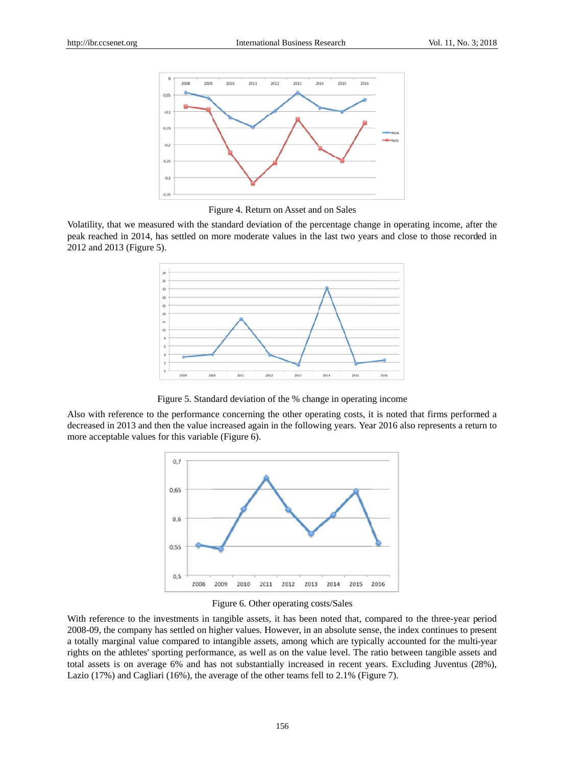

Figure 4. Return on Asset and on Sales

Volatility, that we measured with the standard deviation of the percentage change in operating income, after the peak reached in 2014, has settled on more moderate values in the last two years and close to those recorded in 2012 and 2 2013 (Figure 5 5).



Figure 5. Standard deviation of the % change in operating income

Also with reference to the performance concerning the other operating costs, it is noted that firms performed a decreased in 2013 and then the value increased again in the following years. Year 2016 also represents a return to more acceptable values for this variable (Figure 6).



Figure 6. Other operating costs/Sales

With reference to the investments in tangible assets, it has been noted that, compared to the three-year period 2008-09, the company has settled on higher values. However, in an absolute sense, the index continues to present a totally marginal value compared to intangible assets, among which are typically accounted for the multi-year rights on the athletes' sporting performance, as well as on the value level. The ratio between tangible assets and total assets is on average 6% and has not substantially increased in recent years. Excluding Juventus (28%), Lazio (17%) and Cagliari (16%), the average of the other teams fell to 2.1% (Figure 7).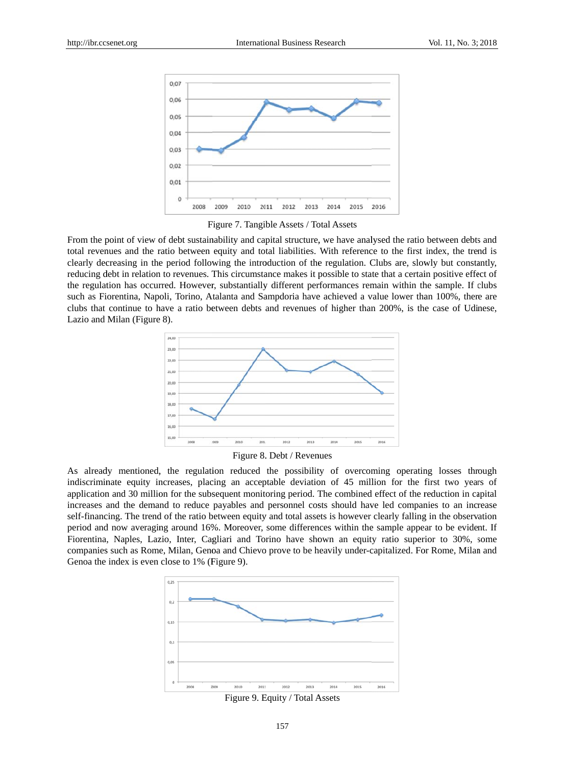

Figure 7. Tangible Assets / Total Assets

From the point of view of debt sustainability and capital structure, we have analysed the ratio between debts and total revenues and the ratio between equity and total liabilities. With reference to the first index, the trend is clearly decreasing in the period following the introduction of the regulation. Clubs are, slowly but constantly, reducing debt in relation to revenues. This circumstance makes it possible to state that a certain positive effect of the regulation has occurred. However, substantially different performances remain within the sample. If clubs such as Fiorentina, Napoli, Torino, Atalanta and Sampdoria have achieved a value lower than 100%, there are clubs that continue to have a ratio between debts and revenues of higher than 200%, is the case of Udinese, Lazio and Milan (Figure 8).



Figure 8. Debt / Revenues

As already mentioned, the regulation reduced the possibility of overcoming operating losses through indiscriminate equity increases, placing an acceptable deviation of 45 million for the first two years of application and 30 million for the subsequent monitoring period. The combined effect of the reduction in capital increases and the demand to reduce payables and personnel costs should have led companies to an increase self-financing. The trend of the ratio between equity and total assets is however clearly falling in the observation period and now averaging around 16%. Moreover, some differences within the sample appear to be evident. If Fiorentina, Naples, Lazio, Inter, Cagliari and Torino have shown an equity ratio superior to 30%, some companies such as Rome, Milan, Genoa and Chievo prove to be heavily under-capitalized. For Rome, Milan and Genoa the index is even close to 1% (Figure 9).

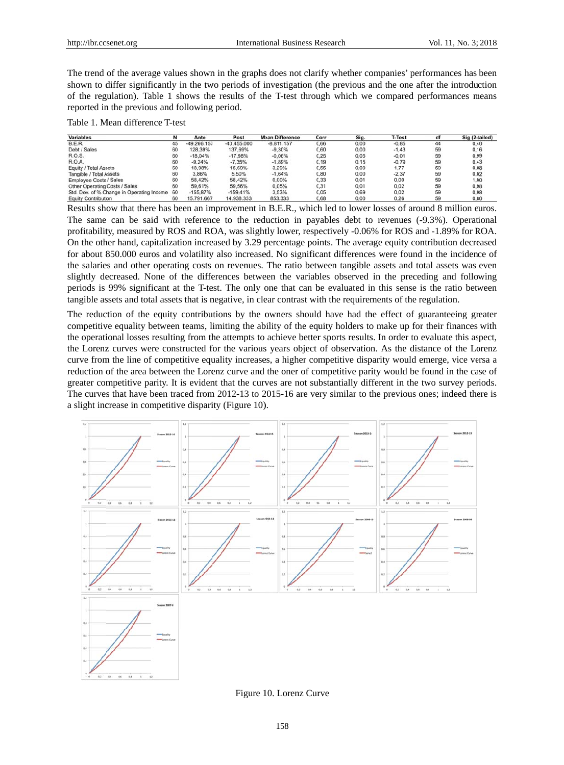The trend of the average values shown in the graphs does not clarify whether companies' performances has been shown to differ significantly in the two periods of investigation (the previous and the one after the introduction of the regulation). Table 1 shows the results of the T-test through which we compared performances means reported in the previous and following period.

|  |  |  |  | Table 1. Mean difference T-test |  |
|--|--|--|--|---------------------------------|--|
|--|--|--|--|---------------------------------|--|

| Variables                                    |    | Ante        | Post          | <b>Mean Difference</b> | Corr | Sig. | T-Test  | df | Sig (2-tailed) |
|----------------------------------------------|----|-------------|---------------|------------------------|------|------|---------|----|----------------|
| <b>B.E.R.</b>                                | 45 | -49.266.157 | $-40.455.000$ | $-8.811.157$           | 0,66 | 0.00 | $-0.85$ | 44 | 0,40           |
| Debt / Sales                                 | 60 | 128,39%     | 137,69%       | $-9.30%$               | 0.60 | 0.00 | $-1.43$ | 59 | 0,16           |
| R.O.S.                                       | 60 | $-18.04%$   | $-17,98%$     | $-0.06%$               | 0.25 | 0.05 | $-0.01$ | 59 | 0.99           |
| R.O.A.                                       | 60 | $-9.24%$    | $-7,35%$      | $-1.89%$               | 0.19 | 0.15 | $-0.79$ | 59 | 0,43           |
| Equity / Total Assets                        | 60 | 18.98%      | 15.69%        | 3.29%                  | 0,55 | 0.00 | 1,77    | 59 | 0.08           |
| Tangible / Total Assets                      | 60 | 3.86%       | 5.50%         | $-1.64%$               | 0.80 | 0.00 | $-2.37$ | 59 | 0.02           |
| Employee Costs / Sales                       | 60 | 58.42%      | 58.42%        | 0.00%                  | 0,33 | 0,01 | 0,00    | 59 | 1.00           |
| Other Operating Costs / Sales                | 60 | 59.61%      | 59.56%        | 0.05%                  | 0.31 | 0.01 | 0.02    | 59 | 0.98           |
| Std. Dev. of % Change in Operating Income 60 |    | $-155.87%$  | $-159.41%$    | 3.53%                  | 0.05 | 0.69 | 0.02    | 59 | 0.98           |
| <b>Equity Contribution</b>                   | 60 | 15.791.667  | 14 938 333    | 853.333                | 0.68 | 0.00 | 0.26    | 59 | 0.80           |

Results show that there has been an improvement in B.E.R., which led to lower losses of around 8 million euros. The same can be said with reference to the reduction in payables debt to revenues (-9.3%). Operational profitability, measured by ROS and ROA, was slightly lower, respectively -0.06% for ROS and -1.89% for ROA. On the other hand, capitalization increased by 3.29 percentage points. The average equity contribution decreased for about 850.000 euros and volatility also increased. No significant differences were found in the incidence of the salaries and other operating costs on revenues. The ratio between tangible assets and total assets was even slightly decreased. None of the differences between the variables observed in the preceding and following periods is 99% significant at the T-test. The only one that can be evaluated in this sense is the ratio between tangible assets and total assets that is negative, in clear contrast with the requirements of the regulation.

The reduction of the equity contributions by the owners should have had the effect of guaranteeing greater competitive equality between teams, limiting the ability of the equity holders to make up for their finances with the operational losses resulting from the attempts to achieve better sports results. In order to evaluate this aspect, the Lorenz curves were constructed for the various years object of observation. As the distance of the Lorenz curve from the line of competitive equality increases, a higher competitive disparity would emerge, vice versa a reduction of the area between the Lorenz curve and the oner of competitive parity would be found in the case of greater competitive parity. It is evident that the curves are not substantially different in the two survey periods. The curves that have been traced from 2012-13 to 2015-16 are very similar to the previous ones; indeed there is a slight increase in competitive disparity (Figure 10).



Figure 10. Lorenz Curve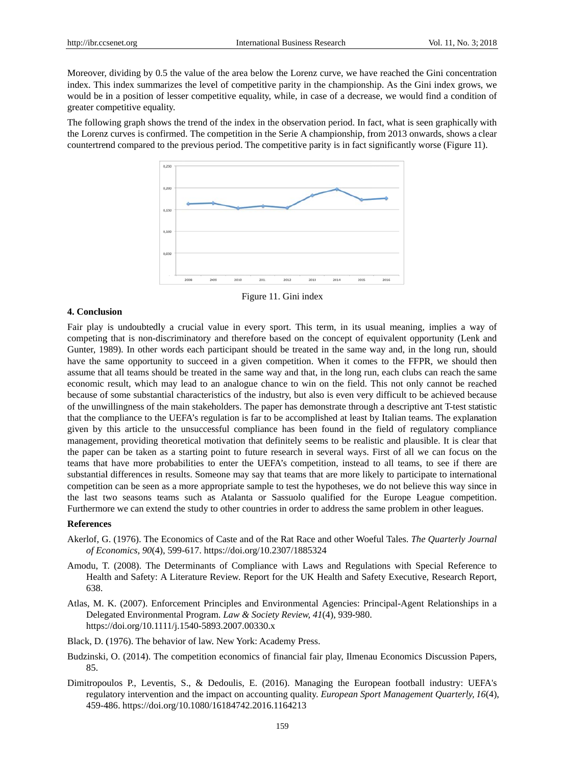Moreover, dividing by 0.5 the value of the area below the Lorenz curve, we have reached the Gini concentration index. This index summarizes the level of competitive parity in the championship. As the Gini index grows, we would be in a position of lesser competitive equality, while, in case of a decrease, we would find a condition of greater competitive equality.

The following graph shows the trend of the index in the observation period. In fact, what is seen graphically with the Lorenz curves is confirmed. The competition in the Serie A championship, from 2013 onwards, shows a clear countertrend compared to the previous period. The competitive parity is in fact significantly worse (Figure 11).



Figure 11. Gini index

## 4. Conclusion

Fair play is undoubtedly a crucial value in every sport. This term, in its usual meaning, implies a way of competing that is non-discriminatory and therefore based on the concept of equivalent opportunity (Lenk and Gunter, 1989). In other words each participant should be treated in the same way and, in the long run, should have the same opportunity to succeed in a given competition. When it comes to the FFPR, we should then assume that all teams should be treated in the same way and that, in the long run, each clubs can reach the same economic result, which may lead to an analogue chance to win on the field. This not only cannot be reached because of some substantial characteristics of the industry, but also is even very difficult to be achieved because of the unwillingness of the main stakeholders. The paper has demonstrate through a descriptive ant T-test statistic that the compliance to the UEFA's regulation is far to be accomplished at least by Italian teams. The explanation given by this article to the unsuccessful compliance has been found in the field of regulatory compliance management, providing theoretical motivation that definitely seems to be realistic and plausible. It is clear that the paper can be taken as a starting point to future research in several ways. First of all we can focus on the teams that have more probabilities to enter the UEFA's competition, instead to all teams, to see if there are substantial differences in results. Someone may say that teams that are more likely to participate to international competition can be seen as a more appropriate sample to test the hypotheses, we do not believe this way since in the last two seasons teams such as Atalanta or Sassuolo qualified for the Europe League competition. Furthermore we can extend the study to other countries in order to address the same problem in other leagues.

## **References**

- Akerlof, G. (1976). The Economics of Caste and of the Rat Race and other Woeful Tales. The Quarterly Journal of Economics, 90(4), 599-617. https://doi.org/10.2307/1885324
- Amodu, T. (2008). The Determinants of Compliance with Laws and Regulations with Special Reference to Health and Safety: A Literature Review. Report for the UK Health and Safety Executive, Research Report, 638.
- Atlas, M. K. (2007). Enforcement Principles and Environmental Agencies: Principal-Agent Relationships in a Delegated Environmental Program. Law & Society Review, 41(4), 939-980. https://doi.org/10.1111/j.1540-5893.2007.00330.x
- Black, D. (1976). The behavior of law. New York: Academy Press.
- Budzinski, O. (2014). The competition economics of financial fair play, Ilmenau Economics Discussion Papers, 85.
- Dimitropoulos P., Leventis, S., & Dedoulis, E. (2016). Managing the European football industry: UEFA's regulatory intervention and the impact on accounting quality. European Sport Management Quarterly, 16(4), 459-486. https://doi.org/10.1080/16184742.2016.1164213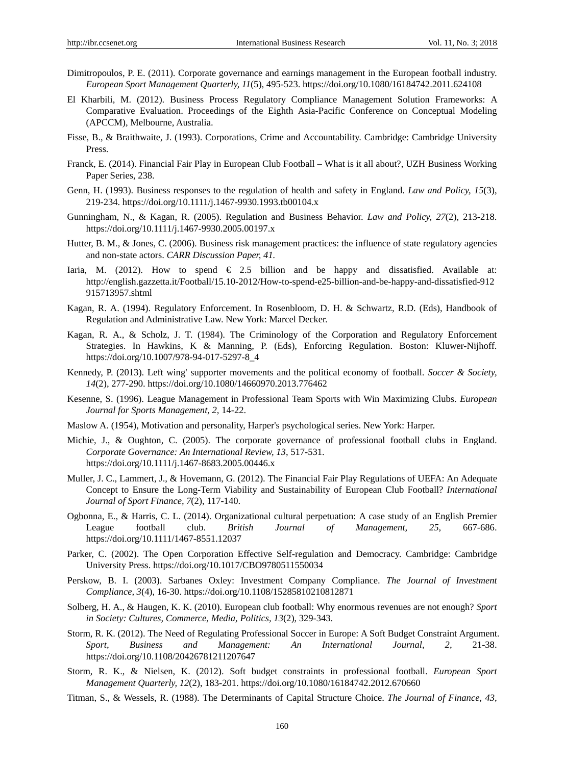- Dimitropoulos, P. E. (2011). Corporate governance and earnings management in the European football industry. *European Sport Management Quarterly, 11*(5), 495-523. https://doi.org/10.1080/16184742.2011.624108
- El Kharbili, M. (2012). Business Process Regulatory Compliance Management Solution Frameworks: A Comparative Evaluation. Proceedings of the Eighth Asia-Pacific Conference on Conceptual Modeling (APCCM), Melbourne, Australia.
- Fisse, B., & Braithwaite, J. (1993). Corporations, Crime and Accountability. Cambridge: Cambridge University Press.
- Franck, E. (2014). Financial Fair Play in European Club Football What is it all about?, UZH Business Working Paper Series, 238.
- Genn, H. (1993). Business responses to the regulation of health and safety in England. *Law and Policy, 15*(3), 219-234. https://doi.org/10.1111/j.1467-9930.1993.tb00104.x
- Gunningham, N., & Kagan, R. (2005). Regulation and Business Behavior. *Law and Policy, 27*(2), 213-218. https://doi.org/10.1111/j.1467-9930.2005.00197.x
- Hutter, B. M., & Jones, C. (2006). Business risk management practices: the influence of state regulatory agencies and non-state actors. *CARR Discussion Paper, 41.*
- Iaria, M. (2012). How to spend  $\epsilon$  2.5 billion and be happy and dissatisfied. Available at: http://english.gazzetta.it/Football/15.10-2012/How-to-spend-e25-billion-and-be-happy-and-dissatisfied-912 915713957.shtml
- Kagan, R. A. (1994). Regulatory Enforcement. In Rosenbloom, D. H. & Schwartz, R.D. (Eds), Handbook of Regulation and Administrative Law. New York: Marcel Decker.
- Kagan, R. A., & Scholz, J. T. (1984). The Criminology of the Corporation and Regulatory Enforcement Strategies. In Hawkins, K & Manning, P. (Eds), Enforcing Regulation. Boston: Kluwer-Nijhoff. https://doi.org/10.1007/978-94-017-5297-8\_4
- Kennedy, P. (2013). Left wing' supporter movements and the political economy of football. *Soccer & Society, 14*(2), 277-290. https://doi.org/10.1080/14660970.2013.776462
- Kesenne, S. (1996). League Management in Professional Team Sports with Win Maximizing Clubs. *European Journal for Sports Management, 2,* 14-22.
- Maslow A. (1954), Motivation and personality, Harper's psychological series. New York: Harper.
- Michie, J., & Oughton, C. (2005). The corporate governance of professional football clubs in England. *Corporate Governance: An International Review, 13*, 517-531. https://doi.org/10.1111/j.1467-8683.2005.00446.x
- Muller, J. C., Lammert, J., & Hovemann, G. (2012). The Financial Fair Play Regulations of UEFA: An Adequate Concept to Ensure the Long-Term Viability and Sustainability of European Club Football? *International Journal of Sport Finance, 7*(2), 117-140.
- Ogbonna, E., & Harris, C. L. (2014). Organizational cultural perpetuation: A case study of an English Premier League football club. *British Journal of Management, 25,* 667-686. https://doi.org/10.1111/1467-8551.12037
- Parker, C. (2002). The Open Corporation Effective Self-regulation and Democracy. Cambridge: Cambridge University Press. https://doi.org/10.1017/CBO9780511550034
- Perskow, B. I. (2003). Sarbanes Oxley: Investment Company Compliance. *The Journal of Investment Compliance, 3*(4), 16-30. https://doi.org/10.1108/15285810210812871
- Solberg, H. A., & Haugen, K. K. (2010). European club football: Why enormous revenues are not enough? *Sport in Society: Cultures, Commerce, Media, Politics, 13*(2), 329-343.
- Storm, R. K. (2012). The Need of Regulating Professional Soccer in Europe: A Soft Budget Constraint Argument. *Sport, Business and Management: An International Journal, 2,* 21-38. https://doi.org/10.1108/20426781211207647
- Storm, R. K., & Nielsen, K. (2012). Soft budget constraints in professional football. *European Sport Management Quarterly, 12*(2), 183-201. https://doi.org/10.1080/16184742.2012.670660
- Titman, S., & Wessels, R. (1988). The Determinants of Capital Structure Choice. *The Journal of Finance, 43,*